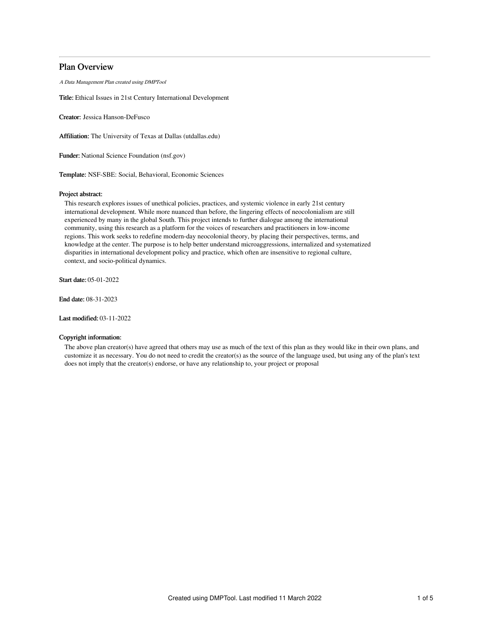# Plan Overview

A Data Management Plan created using DMPTool

Title: Ethical Issues in 21st Century International Development

Creator: Jessica Hanson-DeFusco

Affiliation: The University of Texas at Dallas (utdallas.edu)

Funder: National Science Foundation (nsf.gov)

Template: NSF-SBE: Social, Behavioral, Economic Sciences

## Project abstract:

This research explores issues of unethical policies, practices, and systemic violence in early 21st century international development. While more nuanced than before, the lingering effects of neocolonialism are still experienced by many in the global South. This project intends to further dialogue among the international community, using this research as a platform for the voices of researchers and practitioners in low-income regions. This work seeks to redefine modern-day neocolonial theory, by placing their perspectives, terms, and knowledge at the center. The purpose is to help better understand microaggressions, internalized and systematized disparities in international development policy and practice, which often are insensitive to regional culture, context, and socio-political dynamics.

Start date: 05-01-2022

End date: 08-31-2023

Last modified: 03-11-2022

# Copyright information:

The above plan creator(s) have agreed that others may use as much of the text of this plan as they would like in their own plans, and customize it as necessary. You do not need to credit the creator(s) as the source of the language used, but using any of the plan's text does not imply that the creator(s) endorse, or have any relationship to, your project or proposal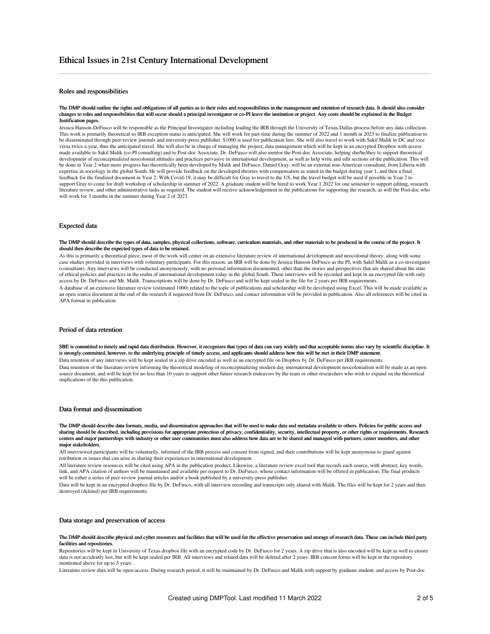# Roles and responsibilities

#### The DMP should outline the rights and obligations of all parties as to their roles and responsibilities in the management and retention of research data. It should also consider changes to roles and responsibilities that will occur should a principal investigator or co-PI leave the institution or project. Any costs should be explained in the Budget Justification pages.

Jessica Hanson-DeFusco will be responsible as the Principal Investigator including leading the IRB through the University of Texas-Dallas process before any data collection. This work is primarily theoretical so IRB exception status is anticipated. She will work for part-time during the summer of 2022 and 1 month in 2023 to finalize publication to be disseminated through peer-review journals and university-press publisher. \$1000 is used for publication fees. She will also travel to work with Sakil Malik in DC and vice versa twice a year, thus the anticipated travel. She will also be in charge of managing the project, data management which will be kept in an encrypted Dropbox with access made available to Sakil Malik (co-PI consulting) and to Post-doc Associate. Dr. DeFusco will also mentor the Post-doc Associate, helping she/he/they to support theoretical development of reconceptualized neocolonial attitudes and practices pervasive in international development, as well as help write and edit sections of the publication. This will be done in Year 2 when more progress has theoretically been developed by Malik and DeFusco. Daniel Gray, will be an external non-American consultant, from Liberia with expertise in sociology in the global South. He will provide feedback on the developed theories with compensation as stated in the budget during year 1, and then a final feedback for the finalized document in Year 2. With Covid-19, it may be difficult for Gray to travel to the US, but the travel budget will be used if possible in Year 2 to support Gray to come for draft workshop of scholarship in summer of 2022. A graduate student will be hired to work Year 1 2022 for one semester to support editing, research literature review, and other administrative tasks as required. The student will receive acknowledgement in the publications for supporting the research, as will the Post-doc who will work for 3 months in the summer during Year 2 of 2023.

### Expected data

#### The DMP should describe the types of data, samples, physical collections, software, curriculum materials, and other materials to be produced in the course of the project. It should then describe the expected types of data to be retained.

As this is primarily a theoretical piece, most of the work will center on an extensive literature review of international development and neocolonial theory, along with some case studies provided in interviews with voluntary participants. For this reason, an IRB will be done by Jessica Hanson-DeFusco as the PI, with Sakil Malik as a co-investigator (consultant). Any interviews will be conducted anonymously, with no personal information documented, other than the stories and perspectives that are shared about the state of ethical policies and practices in the realm of international development today in the global South. These interviews will be recorded and kept in an encrypted file with only access by Dr. DeFusco and Mr. Malik. Transcriptions will be done by Dr. DeFusco and will be kept sealed in the file for 2 years per IRB requirements. A database of an extensive literature review (estimated 1000) related to the topic of publications and scholarship will be developed using Excel. This will be made available as

an open source document at the end of the research if requested from Dr. DeFusco, and contact information will be provided in publication. Also all references will be cited in APA format in publication.

## Period of data retention

SBE is committed to timely and rapid data distribution. However, it recognizes that types of data can vary widely and that acceptable norms also vary by scientific discipline. It is strongly committed, however, to the underlying principle of timely access, and applicants should address how this will be met in their DMP statement.

Data retention of any interviews will be kept sealed in a zip drive encoded as well as an encrypted file on Dropbox by Dr. DeFusco per IRB requirements. Data retention of the literature review informing the theoretical modeling of reconceptualizing modern day international development neocolonialism will be made as an open source document, and will be kept for no less than 10 years to support other future research endeavors by the team or other researchers who wish to expand on the theoretical implications of the this publication.

## Data format and dissemination

The DMP should describe data formats, media, and dissemination approaches that will be used to make data and metadata available to others. Policies for public access and sharing should be described, including provisions for appropriate protection of privacy, confidentiality, security, intellectual property, or other rights or requirements. Research centers and major partnerships with industry or other user communities must also address how data are to be shared and managed with partners, center members, and other major stakeholders.

All interviewed participants will be voluntarily, informed of the IRB process and consent from signed, and their contributions will be kept anonymous to guard against retribution or issues that can arise in sharing their experiences in international development.

All literature review resources will be cited using APA in the publication product. Likewise, a literature review excel tool that records each source, with abstract, key words, link, and APA citation of authors will be maintained and available per request to Dr. DeFusco, whose contact information will be offered in publication. The final products will be either a series of peer-review journal articles and/or a book published by a university-press publisher.

Data will be kept in an encrypted dropbox file by Dr. DeFusco, with all interview recording and transcripts only shared with Malik. The files will be kept for 2 years and then destroyed (deleted) per IRB requirements.

### Data storage and preservation of access

### The DMP should describe physical and cyber resources and facilities that will be used for the effective preservation and storage of research data. These can include third party facilities and repositories.

Repositories will be kept in University of Texas dropbox file with an encrypted code by Dr. DeFusco for 2 years. A zip drive that is also encoded will be kept as well to ensure data is not accidently lost, but will be kept sealed per IRB. All interviews and related data will be deleted after 2 years. IRB concent forms will be kept in the repository mentioned above for up to 5 years.

Literature review data will be open-access. During research period, it will be maintained by Dr. DeFusco and Malik with support by graduate student, and access by Post-doc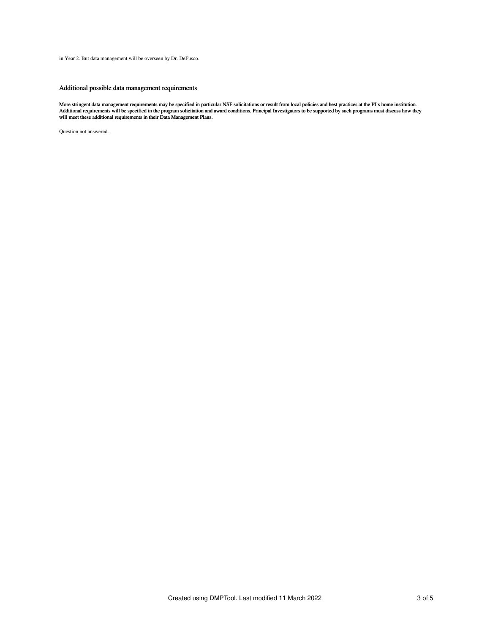in Year 2. But data management will be overseen by Dr. DeFusco.

# Additional possible data management requirements

More stringent data management requirements may be specified in particular NSF solicitations or result from local policies and best practices at the PI's home institution.<br>Additional requirements will be specified in the p

Question not answered.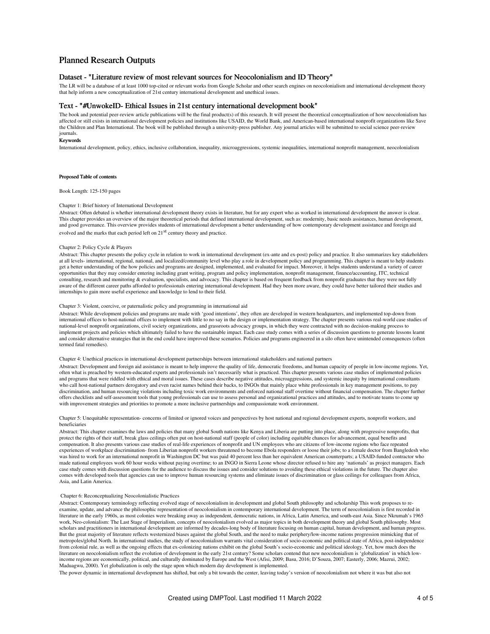# Planned Research Outputs

# Dataset - "Literature review of most relevant sources for Neocolonialism and ID Theory"

The LR will be a database of at least 1000 top-cited or relevant works from Google Scholar and other search engines on neocolonialism and international development theory that help inform a new conceptualization of 21st century international development and unethical issues.

### Text - "#UnwokeID- Ethical Issues in 21st century international development book"

The book and potential peer-review article publications will be the final product(s) of this research. It will present the theoretical conceptualization of how neocolonialism has affected or still exists in international development policies and institutions like USAID, the World Bank, and American-based international nonprofit organizations like Save the Children and Plan International. The book will be published through a university-press publisher. Any journal articles will be submitted to social science peer-review journals.

#### Keywords

International development, policy, ethics, inclusive collaboration, inequality, microaggressions, systemic inequalities, international nonprofit management, neocolonialism

### Proposed Table of contents

Book Length: 125-150 pages

### Chapter 1: Brief history of International Development

Abstract: Often debated is whether international development theory exists in literature, but for any expert who as worked in international development the answer is clear. This chapter provides an overview of the major theoretical periods that defined international development, such as: modernity, basic needs assistances, human development, and good governance. This overview provides students of international development a better understanding of how contemporary development assistance and foreign aid evolved and the marks that each period left on 21<sup>st</sup> century theory and practice.

### Chapter 2: Policy Cycle & Players

Abstract: This chapter presents the policy cycle in relation to work in international development (ex-ante and ex-post) policy and practice. It also summarizes key stakeholders at all levels- international, regional, national, and localized/community level who play a role in development policy and programming. This chapter is meant to help students get a better understanding of the how policies and programs are designed, implemented, and evaluated for impact. Moreover, it helps students understand a variety of career opportunities that they may consider entering including grant writing, program and policy implementation, nonprofit management, finance/accounting, ITC, technical consulting, research and monitoring & evaluation, specialists, and advocacy. This chapter is based on frequent feedback from nonprofit graduates that they were not fully aware of the different career paths afforded to professionals entering international development. Had they been more aware, they could have better tailored their studies and internships to gain more useful experience and knowledge to lend to their field.

### Chapter 3: Violent, coercive, or paternalistic policy and programming in international aid

Abstract: While development policies and programs are made with 'good intentions', they often are developed in western headquarters, and implemented top-down from international offices to host-national offices to implement with little to no say in the design or implementation strategy. The chapter presents various real-world case studies of national-level nonprofit organizations, civil society organizations, and grassroots advocacy groups, in which they were contracted with no decision-making process to<br>implement projects and policies which ultimately failed and consider alternative strategies that in the end could have improved these scenarios. Policies and programs engineered in a silo often have unintended consequences (often termed fatal remedies).

### Chapter 4: Unethical practices in international development partnerships between international stakeholders and national partners

Abstract: Development and foreign aid assistance is meant to help improve the quality of life, democratic freedoms, and human capacity of people in low-income regions. Yet, often what is preached by western-educated experts and professionals isn't necessarily what is practiced. This chapter presents various case studies of implemented policies and programs that were riddled with ethical and moral issues. These cases describe negative attitudes, microaggressions, and systemic inequity by international consultants who call host-national partners derogatory and even racist names behind their backs, to INGOs that mainly place white professionals in key management positions, to pay discrimination, and human resourcing violations including toxic work environments and enforced national staff overtime without financial compensation. The chapter further offers checklists and self-assessment tools that young professionals can use to assess personal and organizational practices and attitudes, and to motivate teams to come up with improvement strategies and priorities to promote a more inclusive partnerships and compassionate work environment.

### Chapter 5: Unequitable representation- concerns of limited or ignored voices and perspectives by host national and regional development experts, nonprofit workers, and beneficiaries

Abstract: This chapter examines the laws and policies that many global South nations like Kenya and Liberia are putting into place, along with progressive nonprofits, that protect the rights of their staff, break glass ceilings often put on host-national staff (people of color) including equitable chances for advancement, equal benefits and compensation. It also presents various case studies of real-life experiences of nonprofit and UN employees who are citizens of low-income regions who face repeated experiences of workplace discrimination- from Liberian nonprofit workers threatened to become Ebola responders or loose their jobs; to a female doctor from Bangledesh who was hired to work for an international nonprofit in Washington DC but was paid 40 percent less than her equivalent American counterparts; a USAID-funded contractor who made national employees work 60 hour weeks without paying overtime; to an INGO in Sierra Leone whose director refused to hire any 'nationals' as project managers. Each case study comes with discussion questions for the audience to discuss the issues and consider solutions to avoiding these ethical violations in the future. The chapter also comes with developed tools that agencies can use to improve human resourcing systems and eliminate issues of discrimination or glass ceilings for colleagues from Africa, Asia, and Latin America.

### Chapter 6: Reconceptualizing Neocolonialistic Practices

Abstract: Contemporary terminology reflecting evolved stage of neocolonialism in development and global South philosophy and scholarship This work proposes to reexamine, update, and advance the philosophic representation of neocolonialism in contemporary international development. The term of neocolonialism is first recorded in literature in the early 1960s, as most colonies were breaking away as independent, democratic nations, in Africa, Latin America, and south-east Asia. Since Nkrumah's 1965 work, Neo-colonialism: The Last Stage of Imperialism, concepts of neocolonialism evolved as major topics in both development theory and global South philosophy. Most scholars and practitioners in international development are informed by decades-long body of literature focusing on human capital, human development, and human progress. But the great majority of literature reflects westernized biases against the global South, and the need to make periphery/low-income nations progression mimicking that of metropoles/global North. In international studies, the study of neocolonialism warrants vital consideration of socio-economic and political state of Africa, post-independence from colonial rule, as well as the ongoing effects that ex-colonizing nations exhibit on the global South's socio-economic and political ideology. Yet, how much does the literature on neocolonialism reflect the evolution of development in the early 21st century? Some scholars contend that new neocolonialism is 'globalization' in which lowincome regions are economically, political, and culturally dominated by Europe and the West (Afisi, 2009; Basu, 2016; D'Souza, 2007; Easterly, 2006; Mazrui, 2002; Maduagwu, 2000). Yet globalization is only the stage upon which modern day development is implemented.

The power dynamic in international development has shifted, but only a bit towards the center, leaving today's version of neocolonialism not where it was but also not